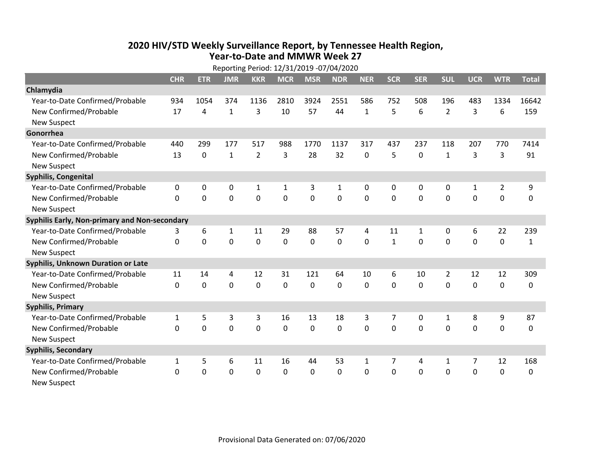## **2020 HIV /STD Weekly Surveillance Report, by Tennessee Health Region, Year‐to‐Date and MMWR Week 27** Reporting Period: 12/31/2019 ‐07/04/2020

| Reporting Period: 12/31/2019 -07/04/2020      |              |             |              |                |             |             |            |              |              |            |                |              |                |              |
|-----------------------------------------------|--------------|-------------|--------------|----------------|-------------|-------------|------------|--------------|--------------|------------|----------------|--------------|----------------|--------------|
|                                               | <b>CHR</b>   | <b>ETR</b>  | <b>JMR</b>   | <b>KKR</b>     | <b>MCR</b>  | <b>MSR</b>  | <b>NDR</b> | <b>NER</b>   | <b>SCR</b>   | <b>SER</b> | <b>SUL</b>     | <b>UCR</b>   | <b>WTR</b>     | <b>Total</b> |
| Chlamydia                                     |              |             |              |                |             |             |            |              |              |            |                |              |                |              |
| Year-to-Date Confirmed/Probable               | 934          | 1054        | 374          | 1136           | 2810        | 3924        | 2551       | 586          | 752          | 508        | 196            | 483          | 1334           | 16642        |
| New Confirmed/Probable                        | 17           | 4           | $\mathbf{1}$ | 3              | 10          | 57          | 44         | $\mathbf{1}$ | 5            | 6          | $\overline{2}$ | 3            | 6              | 159          |
| <b>New Suspect</b>                            |              |             |              |                |             |             |            |              |              |            |                |              |                |              |
| Gonorrhea                                     |              |             |              |                |             |             |            |              |              |            |                |              |                |              |
| Year-to-Date Confirmed/Probable               | 440          | 299         | 177          | 517            | 988         | 1770        | 1137       | 317          | 437          | 237        | 118            | 207          | 770            | 7414         |
| New Confirmed/Probable                        | 13           | $\mathbf 0$ | 1            | $\overline{2}$ | 3           | 28          | 32         | 0            | 5            | 0          | $\mathbf{1}$   | 3            | 3              | 91           |
| <b>New Suspect</b>                            |              |             |              |                |             |             |            |              |              |            |                |              |                |              |
| <b>Syphilis, Congenital</b>                   |              |             |              |                |             |             |            |              |              |            |                |              |                |              |
| Year-to-Date Confirmed/Probable               | 0            | 0           | $\mathbf 0$  | $\mathbf{1}$   | 1           | 3           | 1          | 0            | 0            | 0          | 0              | $\mathbf{1}$ | $\overline{2}$ | 9            |
| New Confirmed/Probable                        | $\mathbf{0}$ | $\mathbf 0$ | 0            | 0              | $\mathbf 0$ | $\mathbf 0$ | 0          | $\mathbf 0$  | 0            | 0          | 0              | 0            | $\mathbf 0$    | 0            |
| <b>New Suspect</b>                            |              |             |              |                |             |             |            |              |              |            |                |              |                |              |
| Syphilis Early, Non-primary and Non-secondary |              |             |              |                |             |             |            |              |              |            |                |              |                |              |
| Year-to-Date Confirmed/Probable               | 3            | 6           | 1            | 11             | 29          | 88          | 57         | 4            | 11           | 1          | 0              | 6            | 22             | 239          |
| New Confirmed/Probable                        | $\Omega$     | 0           | $\Omega$     | 0              | $\mathbf 0$ | 0           | 0          | $\Omega$     | $\mathbf{1}$ | $\Omega$   | $\Omega$       | $\Omega$     | $\mathbf 0$    | $\mathbf{1}$ |
| <b>New Suspect</b>                            |              |             |              |                |             |             |            |              |              |            |                |              |                |              |
| Syphilis, Unknown Duration or Late            |              |             |              |                |             |             |            |              |              |            |                |              |                |              |
| Year-to-Date Confirmed/Probable               | 11           | 14          | 4            | 12             | 31          | 121         | 64         | 10           | 6            | 10         | $\overline{2}$ | 12           | 12             | 309          |
| New Confirmed/Probable                        | $\Omega$     | $\mathbf 0$ | $\mathbf 0$  | 0              | $\mathbf 0$ | $\mathbf 0$ | $\Omega$   | $\Omega$     | $\Omega$     | $\Omega$   | $\Omega$       | 0            | $\mathbf 0$    | 0            |
| <b>New Suspect</b>                            |              |             |              |                |             |             |            |              |              |            |                |              |                |              |
| <b>Syphilis, Primary</b>                      |              |             |              |                |             |             |            |              |              |            |                |              |                |              |
| Year-to-Date Confirmed/Probable               | $\mathbf{1}$ | 5           | 3            | 3              | 16          | 13          | 18         | 3            | 7            | 0          | $\mathbf{1}$   | 8            | 9              | 87           |
| New Confirmed/Probable                        | $\Omega$     | 0           | 0            | 0              | $\mathbf 0$ | 0           | 0          | $\Omega$     | $\Omega$     | $\Omega$   | 0              | $\Omega$     | $\mathbf 0$    | 0            |
| <b>New Suspect</b>                            |              |             |              |                |             |             |            |              |              |            |                |              |                |              |
| <b>Syphilis, Secondary</b>                    |              |             |              |                |             |             |            |              |              |            |                |              |                |              |
| Year-to-Date Confirmed/Probable               | $\mathbf{1}$ | 5           | 6            | 11             | 16          | 44          | 53         | $\mathbf{1}$ | 7            | 4          | 1              | 7            | 12             | 168          |
| New Confirmed/Probable                        | 0            | 0           | 0            | 0              | $\mathbf 0$ | 0           | 0          | $\Omega$     | $\Omega$     | 0          | 0              | 0            | $\mathbf 0$    | 0            |
| <b>New Suspect</b>                            |              |             |              |                |             |             |            |              |              |            |                |              |                |              |